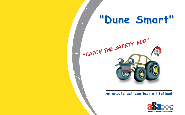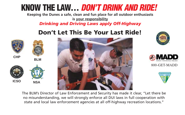# **KNOW THE LAW…** *DON'T DRINK AND RIDE!*

**Keeping the Dunes a safe, clean and fun place for all outdoor enthusiasts is your responsibility**

*Drinking and Driving Laws apply Off-Highway*

# **Don't Let This Be Your Last Ride!**







800-GET-MADD



The BLM's Director of Law Enforcement and Security has made it clear, "Let there be no misunderstanding, we will strongly enforce all DUI laws in full cooperation with state and local law enforcement agencies at all off-highway recreation locations."





**BLM**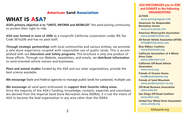#### **American Sand Association**

### **WHAT IS ASA?**

**ASA's primary objective is to "UNITE, INFORM and MOBILIZE"** the sand duning community to protect their right to ride.

**ASA was formed in June of 2000** as a nonprofit California corporation under IRS Tax Code 501(c)(4) and has no paid staff.

**Through strategic partnerships** with local communities and various entities, we promote a safe dune experience coupled with responsible use of public lands. This is accomplished with our **Education and Safety programs.** This brochure is only one product of those efforts. Through our Website, newsletters, and emails, we **distribute information** to sand-oriented vehicle owners and businesses.

**Plant and animal studies** funded by the ASA and our sister organizations, provide the best science available.

**We encourage** State and Federal agencies to manage public lands for sustained, multiple use.

**We encourage** all sand sport enthusiasts to **support their favorite riding areas.** Since the majority of the ASA's funding, knowledge, contacts, expertise and volunteers are derived from the Imperial Sand Dune Recreation Area (ISDRA), it is not the intent of ASA to become the lead organization in any area other than the ISDRA.

#### **ASA ENCOURAGES you to JOIN and DONATE to the following ORGANIZATIONS**

**ACTION**

www.actionprogram.info

**Americans for Responsible Recreation Access** www.arra-access.com

**American Motorcyclist Association** www.amadirectlink.com

**All-Terrain Vehicle Association (ATVA)** ATVA@ATVAonline.com

**Blue Ribbon Coalition** www.sharetrails.org

**California Association of 4 Wheel Drive Clubs** www.cal4wheel.com

**California Off-Road Vehicle Association**

www.corva.org

**Friends of Oceano Dunes** bod@oceanodunes.org

**Friends of Sand Mountain** www.sandmountain-nv.org

**Off-Road Business Association** www.orba.biz

**San Diego Off-Road Coalition** www.sdorc.org

**United Four Wheel Drive Association** www.ufwda.org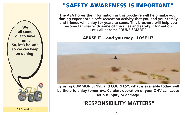

## **"SAFETY AWARENESS IS IMPORTANT"**

**The ASA hopes the information in this brochure will help make your duning experience a safe recreation activity that you and your family and friends will enjoy for years to come. This brochure will help you become familiar with some of the rules and safety information. Let's all become "DUNE SMART."**

**ABUSE IT ---and you may---LOSE IT!**



**By using COMMON SENSE and COURTESY, what is available today, will be there to enjoy tomorrow. Careless operation of your OHV can cause serious injury or damage.**

# **"RESPONSIBILITY MATTERS"**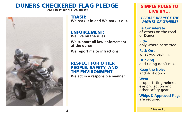#### **DUNERS CHECKERED FLAG PLEDGE We Fly It And Live By It!**



**TRASH: We pack it in and We pack it out.**

#### **ENFORCEMENT:**

**We live by the rules.**

**We support all law enforcement at the dunes.**

**We report major infractions!**

#### **RESPECT FOR OTHER PEOPLE, SAFETY, AND THE ENVIRONMENT**

**We act in a responsible manner.**

#### **SIMPLE RULES TO LIVE BY…**

*PLEASE RESPECT THE RIGHTS OF OTHERS!* 

**Be Considerate** of others on the road or Dunes.

**Ride** only where permitted.

**Pack Out** what you pack in.

**Drinking** and riding don't mix.

**Keep the Noise** and dust down.

#### **Wear**

proper fitting helmet, eye protection and other safety gear.

**Whips & Approved Flags** are required.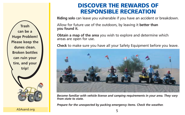**DISCOVER THE REWARDS OF RESPONSIBLE RECREATION**

**Riding solo** can leave you vulnerable if you have an accident or breakdown.

Allow for future use of the outdoors, by leaving it **better than you found it.**

**Obtain a map of the area** you wish to explore and determine which areas are open for use.

**Check** to make sure you have all your Safety Equipment before you leave.



*Become familiar with vehicle license and camping requirements in your area. They vary from state to state.*

*Prepare for the unexpected by packing emergency items. Check the weather.*

ASAsand.org

**Trash can be a Huge Problem! Please keep the dunes clean. Broken bottles can ruin your tire, and your trip!**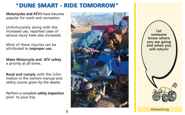### **"DUNE SMART - RIDE TOMORROW"**

**Motorcycles and ATV's** have become popular for work and recreation.

Unfortunately along with the increased use, reported cases of serious injury have also increased.

Most of these injuries can be attributed to **improper use.**

**Make Motorcycle and ATV safety**  a priority at all times.

**Read and comply** with the information in the owners manual and safety course given by the dealer.

Perform a complete **safety inspection** prior to your trip.



**Let someone know where you are going and when you will return!**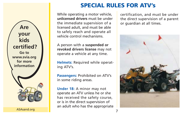

ASAsand.org

# **SPECIAL RULES FOR ATV's**

While operating a motor vehicle, **unlicensed drivers** must be under the immediate supervision of a licensed adult, and must be able to safely reach and operate all vehicle control mechanisms.

A person with a **suspended or revoked drivers license** may not operate a vehicle at any time.

**Helmets:** Required while operating ATV's.

**Passengers:** Prohibited on ATV's in some riding areas.

**Under 18:** A minor may not operate an ATV unless he or she has received the safety course, or is in the direct supervision of an adult who has the appropriate certification, and must be under the direct supervision of a parent or guardian at all times.

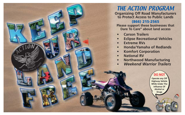

### THE ACTION PROGRAM

**Organizing Off Road Manufacturers to Protect Access to Public Lands**

#### **(866) 215-2565**

**Please support these businesses that Dare To Care" about land access**

- **• Carson Trailers**
- **Eclipse Recreational Vehicles**
- **• Extreme RVs**
- **• Honda/Yamaha of Redlands**
- **• Komfort Corporation**
- **National RV**
- **• Northwood Manufacturing**
- **•** *Weekend Warrior Trailers*

**Operate any Off Highway Vehicle While Under The Influence Of Alcohol or Drugs**

**DO NO**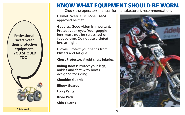**Professional racers wear their protective equipment. YOU SHOULD TOO!** 

ASAsand.org **Assume that the set of the set of the set of the set of the set of the set of the set of the set o** 

# **KNOW WHAT EQUIPMENT SHOULD BE WORN.**

Check the operators manual for manufacturer's recommendations

**Helmet**: Wear a DOT-Snell ANSI approved helmet.

**Goggles:** Good vision is important. Protect your eyes. Your goggle lens must not be scratched or fogged over. Do not use a tinted lens at night.

**Gloves:** Protect your hands from blisters and fatigue.

**Chest Protector:** Avoid chest injuries.

**Riding Boots:** Protect your legs, ankles and feet with boots designed for riding.

**Shoulder Guards**

**Elbow Guards**

**Long Pants**

**Knee Pads**

**Shin Guards**

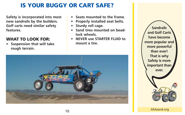# **IS YOUR BUGGY OR CART SAFE?**

**Safety is incorporated into most new sandrails by the builders. Golf carts need similar safety features.**

#### **WHAT TO LOOK FOR:**

**• Suspension that will take rough terrain.**

- **• Seats mounted to the frame.**
- **Properly installed seat belts.**
- **• Sturdy roll cage.**
- **• Sand tires mounted on beadlock wheels.**
- **• NEVER use STARTER FLUID to mount a tire.**



**Sandrails and Golf Carts have become more popular and more powerful than ever! That is why Safety is more important than ever.**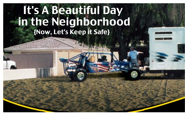# It's A Beautiful Day in the Neighborhood {Now, Let's Keep it Safe}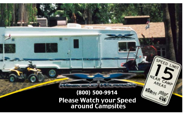# **(800) 500-9914Please Watch your Speed<br>around Campsites**

SPEED LIMIT

NEAR CAMP

 $\frac{\partial S_{\partial z}}{\partial x}$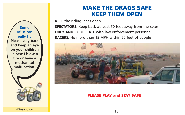**Some of us can really fly! Please stay back and keep an eye on your children in case I blow a tire or have a mechanical malfunction!** 

## **MAKE THE DRAGS SAFE KEEP THEM OPEN**

**KEEP** the riding lanes open

**SPECTATORS:** Keep back at least 50 feet away from the races **OBEY AND COOPERATE** with law enforcement personnel **RACERS:** No more than 15 MPH within 50 feet of people



#### **PLEASE PLAY and STAY SAFE**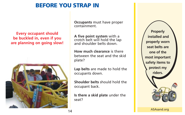## **BEFORE YOU STRAP IN**

#### **Every occupant should be buckled in, even if you are planning on going slow!**



**Occupants** must have proper containment.

**A five point system** with a crotch belt will hold the lap and shoulder belts down.

**How much clearance** is there between the seat and the skid plate?

**Lap belts** are made to hold the occupants down.

**Shoulder belts** should hold the occupant back.

**Is there a skid plate** under the seat?

**Properly installed and properly worn seat belts are one of the most important safety items to protect my riders.**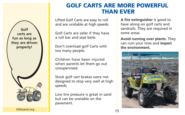

ASAsand.org

## **GOLF CARTS ARE MORE POWERFUL THAN EVER**

Lifted Golf Carts are easy to roll and are unstable at high speeds.

Golf Carts are safer if they have a roll bar and seat belts.

Don't overload golf Carts with too many people.

Children have been injured when parents let them go out unsupervised.

Stock golf cart brakes were not designed to stop very well at high speeds.

Low tire pressure is great in sand but can be unstable on the pavement.

**A fire extinguisher** is good to have along on golf carts and sandrails. They are required in some areas.

**Avoid running over plants.** They can ruin your tires and **impact the environment.**

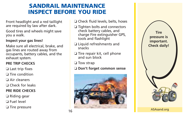# **SANDRAIL MAINTENANCE INSPECT BEFORE YOU RIDE**

Front headlight and a red taillight are required by law after dark.

Good tires and wheels might save you a walk.

#### **Inspect your gas lines!**

Make sure all electrical, brake, and gas lines are routed away from occupants, battery cables, and the exhaust system.

#### **PRE TRIP CHECKS**

❏ Last trip fixes

❏ Tire condition

❏ Air cleaners

❏ Check for leaks

#### **PRE RIDE CHECKS**

❏ Riding gear

❏ Fuel level

❏ Tire pressure

- ❏ Check fluid levels, belts, hoses
- ❏ Tighten bolts and connectors check battery cables, and charge Fire extinguisher GPS, tools and flashlight
- ❏ Liquid refreshments and snacks
- ❏ Tire repair kit, cell phone and sun block
- ❏ Tow strap

#### ❏ **Don't forget common sense**



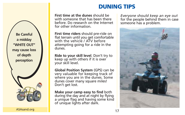# **DUNING TIPS**

**First time at the dunes** should be with someone that has been there before. Do research on the Internet for other information.

**First time riders** should pre-ride on flat terrain until you get comfortable with the vehicle / ATV before attempting going for a ride in the dunes.

**Ride to your skill level**. Don't try to keep up with others if it is over your skill level.

**Global Position System** (GPS) can be very valuable for keeping track of where you are in the dunes. Some dunes cover many square miles! Don't get lost.

**Make your camp easy to find** both during the day and at night by flying a unique flag and having some kind of unique lights after dark.

*Everyone should keep an eye out* for the people behind them in case someone has a problem.



**Be Careful a midday "WHITE OUT" may cause loss of depth perception**

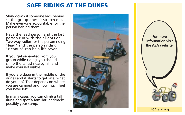## **SAFE RIDING AT THE DUNES**

**Slow down** if someone lags behind so the group doesn't stretch out. Make everyone accountable for the person behind them.

Have the lead person and the last person run with their lights on. **Two-way radios** for the person riding "lead" and the person riding "cleanup" can be a life saver.

**If you get separated** from your group while riding, you should climb the tallest nearby hill and make yourself visible.

If you are deep in the middle of the dunes and it starts to get late, what do you do? That depends on where you are camped and how much fuel you have left.

In many cases, you can **climb a tall dune** and spot a familiar landmark: possibly your camp.



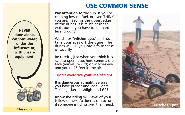## **USE COMMON SENSE**

**Pay attention** to the sun. If you're running low on fuel, or even THINK you are, head for the closest edge of the dunes. It is much easier to walk out, if you have to, on hard level ground.

Watch for **"witches eyes"** and never take your eyes off the dune! The dunes will lull you into a false sense of security.

Be careful, just when you think it is safe to open it up, here comes a slip face (miniature cliff) or witches eye and you're 15 feet in the air.

#### **Don't overdrive your line of sight.**

**It is dangerous at night.** Be sure you have proper and legal lights. Take a jacket, flashlight and **GPS**.

**Know the riding skill level** of your fellow duners. Accidents can occur if someone is riding over their head.



**NEVER dune alone, without water, under the influence or, with unsafe equipment.**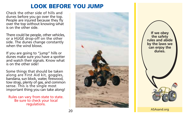### **LOOK BEFORE YOU JUMP**

Check the other side of hills and dunes before you go over the top. People are injured because they fly over the top without knowing what is on the other side.

There could be people, other vehicles, or a HUGE drop-off on the other side. The dunes change constantly when the wind blows<sup>"</sup>

If you are going to "jump" hills or dunes make sure you have a spotter and watch their signals. Know what is on the other side!

Some things that should be taken along are First Aid kit, goggles, bandana, sun block, water, firewood, tow strap, plenty of gas, and common sense. This is the single most important thing you can take along!

Rules can vary from state to state. Be sure to check your local regulations.



**If we obey the safety rules and abide by the laws we can enjoy the dunes.** 

and the set of the set of the set of the set of the set of the set of the set of the set of the set of the set o<br>As a set of the set of the set of the set of the set of the set of the set of the set of the set of the set o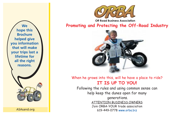

ASAsand.org



**Promoting and Protecting the Off-Road Industry**



#### When he grows into this, will he have a place to ride? **IT IS UP TO YOU!**

Following the rules and using common sense can help keep the dunes open for many generations. ATTENTION BUSINESS OWNERS Join ORBA-YOUR trade association 619-449-0778 www.orba.biz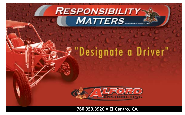# **RESPONSIBILITY MATTERS**

# "Designate a Driver"



**760.353.3920 • El Centro, CA**